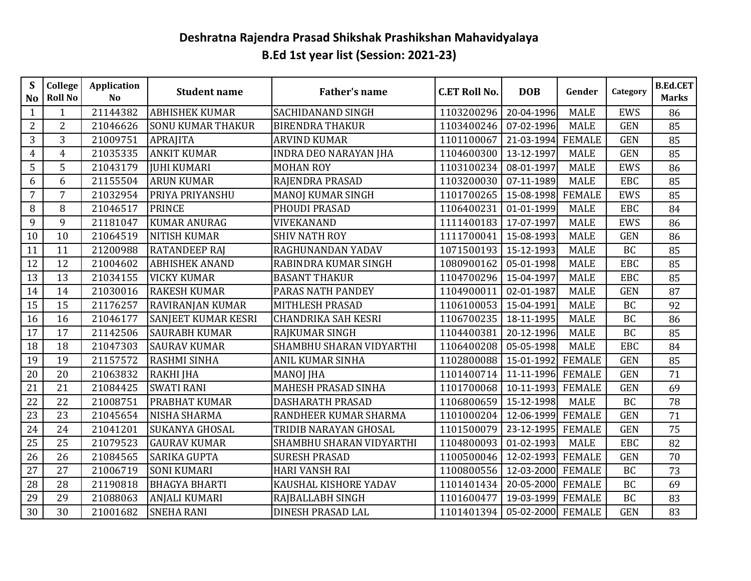## **Deshratna Rajendra Prasad Shikshak Prashikshan Mahavidyalaya B.Ed 1st year list (Session: 2021-23)**

| $\mathbf S$<br>N <sub>o</sub> | College<br><b>Roll No</b> | Application<br>N <sub>o</sub> | <b>Student name</b>      | <b>Father's name</b>         | <b>C.ET Roll No.</b> | <b>DOB</b> | Gender        | Category   | <b>B.Ed.CET</b><br><b>Marks</b> |
|-------------------------------|---------------------------|-------------------------------|--------------------------|------------------------------|----------------------|------------|---------------|------------|---------------------------------|
| $\mathbf{1}$                  | $\mathbf{1}$              | 21144382                      | <b>ABHISHEK KUMAR</b>    | SACHIDANAND SINGH            | 1103200296           | 20-04-1996 | <b>MALE</b>   | <b>EWS</b> | 86                              |
| $\overline{2}$                | $\overline{2}$            | 21046626                      | <b>SONU KUMAR THAKUR</b> | <b>BIRENDRA THAKUR</b>       | 1103400246           | 07-02-1996 | <b>MALE</b>   | <b>GEN</b> | 85                              |
| 3                             | 3                         | 21009751                      | <b>APRAJITA</b>          | <b>ARVIND KUMAR</b>          | 1101100067           | 21-03-1994 | <b>FEMALE</b> | <b>GEN</b> | 85                              |
| $\overline{4}$                | $\overline{4}$            | 21035335                      | <b>ANKIT KUMAR</b>       | <b>INDRA DEO NARAYAN JHA</b> | 1104600300           | 13-12-1997 | <b>MALE</b>   | <b>GEN</b> | 85                              |
| 5                             | 5                         | 21043179                      | <b>JUHI KUMARI</b>       | <b>MOHAN ROY</b>             | 1103100234           | 08-01-1997 | <b>MALE</b>   | <b>EWS</b> | 86                              |
| 6                             | 6                         | 21155504                      | <b>ARUN KUMAR</b>        | RAJENDRA PRASAD              | 1103200030           | 07-11-1989 | <b>MALE</b>   | <b>EBC</b> | 85                              |
| $\overline{7}$                | $\overline{7}$            | 21032954                      | PRIYA PRIYANSHU          | <b>MANOJ KUMAR SINGH</b>     | 1101700265           | 15-08-1998 | <b>FEMALE</b> | <b>EWS</b> | 85                              |
| 8                             | 8                         | 21046517                      | <b>PRINCE</b>            | PHOUDI PRASAD                | 1106400231           | 01-01-1999 | <b>MALE</b>   | <b>EBC</b> | 84                              |
| 9                             | 9                         | 21181047                      | <b>KUMAR ANURAG</b>      | VIVEKANAND                   | 1111400183           | 17-07-1997 | <b>MALE</b>   | <b>EWS</b> | 86                              |
| 10                            | 10                        | 21064519                      | <b>NITISH KUMAR</b>      | <b>SHIV NATH ROY</b>         | 1111700041           | 15-08-1993 | <b>MALE</b>   | <b>GEN</b> | 86                              |
| 11                            | 11                        | 21200988                      | <b>RATANDEEP RAJ</b>     | RAGHUNANDAN YADAV            | 1071500193           | 15-12-1993 | <b>MALE</b>   | <b>BC</b>  | 85                              |
| 12                            | 12                        | 21004602                      | <b>ABHISHEK ANAND</b>    | RABINDRA KUMAR SINGH         | 1080900162           | 05-01-1998 | <b>MALE</b>   | EBC        | 85                              |
| 13                            | 13                        | 21034155                      | <b>VICKY KUMAR</b>       | <b>BASANT THAKUR</b>         | 1104700296           | 15-04-1997 | <b>MALE</b>   | <b>EBC</b> | 85                              |
| 14                            | 14                        | 21030016                      | <b>RAKESH KUMAR</b>      | PARAS NATH PANDEY            | 1104900011           | 02-01-1987 | <b>MALE</b>   | <b>GEN</b> | 87                              |
| 15                            | 15                        | 21176257                      | RAVIRANJAN KUMAR         | MITHLESH PRASAD              | 1106100053           | 15-04-1991 | <b>MALE</b>   | <b>BC</b>  | 92                              |
| 16                            | 16                        | 21046177                      | SANJEET KUMAR KESRI      | <b>CHANDRIKA SAH KESRI</b>   | 1106700235           | 18-11-1995 | <b>MALE</b>   | <b>BC</b>  | 86                              |
| 17                            | 17                        | 21142506                      | <b>SAURABH KUMAR</b>     | RAJKUMAR SINGH               | 1104400381           | 20-12-1996 | <b>MALE</b>   | <b>BC</b>  | 85                              |
| 18                            | 18                        | 21047303                      | <b>SAURAV KUMAR</b>      | SHAMBHU SHARAN VIDYARTHI     | 1106400208           | 05-05-1998 | <b>MALE</b>   | <b>EBC</b> | 84                              |
| 19                            | 19                        | 21157572                      | <b>RASHMI SINHA</b>      | ANIL KUMAR SINHA             | 1102800088           | 15-01-1992 | <b>FEMALE</b> | <b>GEN</b> | 85                              |
| 20                            | 20                        | 21063832                      | <b>RAKHI JHA</b>         | <b>MANOJ JHA</b>             | 1101400714           | 11-11-1996 | <b>FEMALE</b> | <b>GEN</b> | 71                              |
| 21                            | 21                        | 21084425                      | <b>SWATI RANI</b>        | <b>MAHESH PRASAD SINHA</b>   | 1101700068           | 10-11-1993 | <b>FEMALE</b> | <b>GEN</b> | 69                              |
| 22                            | 22                        | 21008751                      | PRABHAT KUMAR            | <b>DASHARATH PRASAD</b>      | 1106800659           | 15-12-1998 | <b>MALE</b>   | <b>BC</b>  | 78                              |
| 23                            | 23                        | 21045654                      | NISHA SHARMA             | RANDHEER KUMAR SHARMA        | 1101000204           | 12-06-1999 | <b>FEMALE</b> | <b>GEN</b> | 71                              |
| 24                            | 24                        | 21041201                      | <b>SUKANYA GHOSAL</b>    | TRIDIB NARAYAN GHOSAL        | 1101500079           | 23-12-1995 | <b>FEMALE</b> | <b>GEN</b> | 75                              |
| $\overline{25}$               | 25                        | 21079523                      | <b>GAURAV KUMAR</b>      | SHAMBHU SHARAN VIDYARTHI     | 1104800093           | 01-02-1993 | <b>MALE</b>   | EBC        | 82                              |
| 26                            | 26                        | 21084565                      | <b>SARIKA GUPTA</b>      | <b>SURESH PRASAD</b>         | 1100500046           | 12-02-1993 | <b>FEMALE</b> | <b>GEN</b> | 70                              |
| $\overline{27}$               | 27                        | 21006719                      | <b>SONI KUMARI</b>       | <b>HARI VANSH RAI</b>        | 1100800556           | 12-03-2000 | <b>FEMALE</b> | <b>BC</b>  | 73                              |
| 28                            | 28                        | 21190818                      | <b>BHAGYA BHARTI</b>     | KAUSHAL KISHORE YADAV        | 1101401434           | 20-05-2000 | <b>FEMALE</b> | <b>BC</b>  | 69                              |
| 29                            | 29                        | 21088063                      | <b>ANJALI KUMARI</b>     | RAJBALLABH SINGH             | 1101600477           | 19-03-1999 | <b>FEMALE</b> | <b>BC</b>  | 83                              |
| 30                            | 30                        | 21001682                      | <b>SNEHA RANI</b>        | DINESH PRASAD LAL            | 1101401394           | 05-02-2000 | <b>FEMALE</b> | <b>GEN</b> | 83                              |